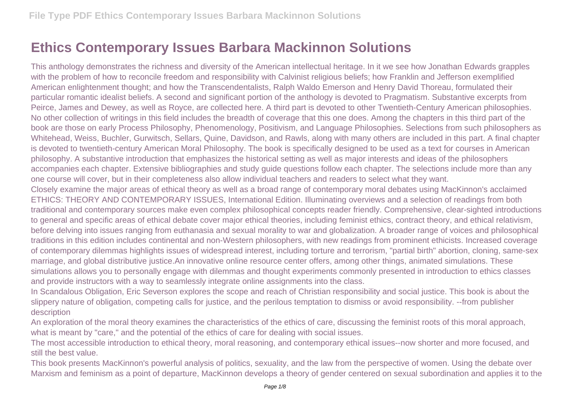## **Ethics Contemporary Issues Barbara Mackinnon Solutions**

This anthology demonstrates the richness and diversity of the American intellectual heritage. In it we see how Jonathan Edwards grapples with the problem of how to reconcile freedom and responsibility with Calvinist religious beliefs; how Franklin and Jefferson exemplified American enlightenment thought; and how the Transcendentalists, Ralph Waldo Emerson and Henry David Thoreau, formulated their particular romantic idealist beliefs. A second and significant portion of the anthology is devoted to Pragmatism. Substantive excerpts from Peirce, James and Dewey, as well as Royce, are collected here. A third part is devoted to other Twentieth-Century American philosophies. No other collection of writings in this field includes the breadth of coverage that this one does. Among the chapters in this third part of the book are those on early Process Philosophy, Phenomenology, Positivism, and Language Philosophies. Selections from such philosophers as Whitehead, Weiss, Buchler, Gurwitsch, Sellars, Quine, Davidson, and Rawls, along with many others are included in this part. A final chapter is devoted to twentieth-century American Moral Philosophy. The book is specifically designed to be used as a text for courses in American philosophy. A substantive introduction that emphasizes the historical setting as well as major interests and ideas of the philosophers accompanies each chapter. Extensive bibliographies and study guide questions follow each chapter. The selections include more than any one course will cover, but in their completeness also allow individual teachers and readers to select what they want. Closely examine the major areas of ethical theory as well as a broad range of contemporary moral debates using MacKinnon's acclaimed ETHICS: THEORY AND CONTEMPORARY ISSUES, International Edition. Illuminating overviews and a selection of readings from both

traditional and contemporary sources make even complex philosophical concepts reader friendly. Comprehensive, clear-sighted introductions to general and specific areas of ethical debate cover major ethical theories, including feminist ethics, contract theory, and ethical relativism, before delving into issues ranging from euthanasia and sexual morality to war and globalization. A broader range of voices and philosophical traditions in this edition includes continental and non-Western philosophers, with new readings from prominent ethicists. Increased coverage of contemporary dilemmas highlights issues of widespread interest, including torture and terrorism, "partial birth" abortion, cloning, same-sex marriage, and global distributive justice.An innovative online resource center offers, among other things, animated simulations. These simulations allows you to personally engage with dilemmas and thought experiments commonly presented in introduction to ethics classes and provide instructors with a way to seamlessly integrate online assignments into the class.

In Scandalous Obligation, Eric Severson explores the scope and reach of Christian responsibility and social justice. This book is about the slippery nature of obligation, competing calls for justice, and the perilous temptation to dismiss or avoid responsibility. --from publisher description

An exploration of the moral theory examines the characteristics of the ethics of care, discussing the feminist roots of this moral approach, what is meant by "care," and the potential of the ethics of care for dealing with social issues.

The most accessible introduction to ethical theory, moral reasoning, and contemporary ethical issues--now shorter and more focused, and still the best value.

This book presents MacKinnon's powerful analysis of politics, sexuality, and the law from the perspective of women. Using the debate over Marxism and feminism as a point of departure, MacKinnon develops a theory of gender centered on sexual subordination and applies it to the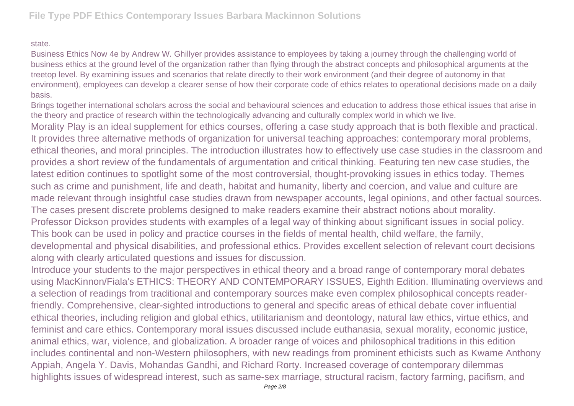## state.

Business Ethics Now 4e by Andrew W. Ghillyer provides assistance to employees by taking a journey through the challenging world of business ethics at the ground level of the organization rather than flying through the abstract concepts and philosophical arguments at the treetop level. By examining issues and scenarios that relate directly to their work environment (and their degree of autonomy in that environment), employees can develop a clearer sense of how their corporate code of ethics relates to operational decisions made on a daily basis.

Brings together international scholars across the social and behavioural sciences and education to address those ethical issues that arise in the theory and practice of research within the technologically advancing and culturally complex world in which we live.

Morality Play is an ideal supplement for ethics courses, offering a case study approach that is both flexible and practical. It provides three alternative methods of organization for universal teaching approaches: contemporary moral problems, ethical theories, and moral principles. The introduction illustrates how to effectively use case studies in the classroom and provides a short review of the fundamentals of argumentation and critical thinking. Featuring ten new case studies, the latest edition continues to spotlight some of the most controversial, thought-provoking issues in ethics today. Themes such as crime and punishment, life and death, habitat and humanity, liberty and coercion, and value and culture are made relevant through insightful case studies drawn from newspaper accounts, legal opinions, and other factual sources. The cases present discrete problems designed to make readers examine their abstract notions about morality. Professor Dickson provides students with examples of a legal way of thinking about significant issues in social policy. This book can be used in policy and practice courses in the fields of mental health, child welfare, the family, developmental and physical disabilities, and professional ethics. Provides excellent selection of relevant court decisions along with clearly articulated questions and issues for discussion.

Introduce your students to the major perspectives in ethical theory and a broad range of contemporary moral debates using MacKinnon/Fiala's ETHICS: THEORY AND CONTEMPORARY ISSUES, Eighth Edition. Illuminating overviews and a selection of readings from traditional and contemporary sources make even complex philosophical concepts readerfriendly. Comprehensive, clear-sighted introductions to general and specific areas of ethical debate cover influential ethical theories, including religion and global ethics, utilitarianism and deontology, natural law ethics, virtue ethics, and feminist and care ethics. Contemporary moral issues discussed include euthanasia, sexual morality, economic justice, animal ethics, war, violence, and globalization. A broader range of voices and philosophical traditions in this edition includes continental and non-Western philosophers, with new readings from prominent ethicists such as Kwame Anthony Appiah, Angela Y. Davis, Mohandas Gandhi, and Richard Rorty. Increased coverage of contemporary dilemmas highlights issues of widespread interest, such as same-sex marriage, structural racism, factory farming, pacifism, and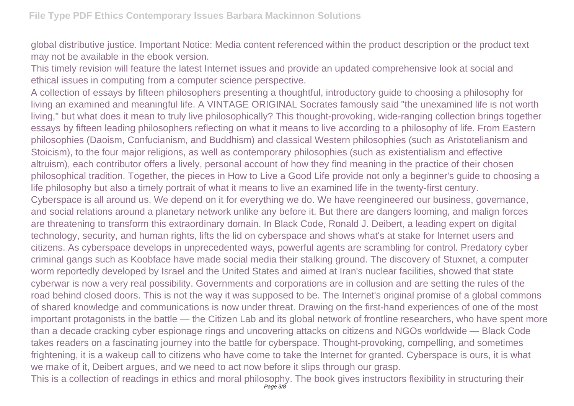global distributive justice. Important Notice: Media content referenced within the product description or the product text may not be available in the ebook version.

This timely revision will feature the latest Internet issues and provide an updated comprehensive look at social and ethical issues in computing from a computer science perspective.

A collection of essays by fifteen philosophers presenting a thoughtful, introductory guide to choosing a philosophy for living an examined and meaningful life. A VINTAGE ORIGINAL Socrates famously said "the unexamined life is not worth living," but what does it mean to truly live philosophically? This thought-provoking, wide-ranging collection brings together essays by fifteen leading philosophers reflecting on what it means to live according to a philosophy of life. From Eastern philosophies (Daoism, Confucianism, and Buddhism) and classical Western philosophies (such as Aristotelianism and Stoicism), to the four major religions, as well as contemporary philosophies (such as existentialism and effective altruism), each contributor offers a lively, personal account of how they find meaning in the practice of their chosen philosophical tradition. Together, the pieces in How to Live a Good Life provide not only a beginner's guide to choosing a life philosophy but also a timely portrait of what it means to live an examined life in the twenty-first century. Cyberspace is all around us. We depend on it for everything we do. We have reengineered our business, governance, and social relations around a planetary network unlike any before it. But there are dangers looming, and malign forces are threatening to transform this extraordinary domain. In Black Code, Ronald J. Deibert, a leading expert on digital technology, security, and human rights, lifts the lid on cyberspace and shows what's at stake for Internet users and citizens. As cyberspace develops in unprecedented ways, powerful agents are scrambling for control. Predatory cyber criminal gangs such as Koobface have made social media their stalking ground. The discovery of Stuxnet, a computer worm reportedly developed by Israel and the United States and aimed at Iran's nuclear facilities, showed that state cyberwar is now a very real possibility. Governments and corporations are in collusion and are setting the rules of the road behind closed doors. This is not the way it was supposed to be. The Internet's original promise of a global commons of shared knowledge and communications is now under threat. Drawing on the first-hand experiences of one of the most important protagonists in the battle — the Citizen Lab and its global network of frontline researchers, who have spent more than a decade cracking cyber espionage rings and uncovering attacks on citizens and NGOs worldwide — Black Code takes readers on a fascinating journey into the battle for cyberspace. Thought-provoking, compelling, and sometimes frightening, it is a wakeup call to citizens who have come to take the Internet for granted. Cyberspace is ours, it is what we make of it, Deibert argues, and we need to act now before it slips through our grasp.

This is a collection of readings in ethics and moral philosophy. The book gives instructors flexibility in structuring their Page 3/8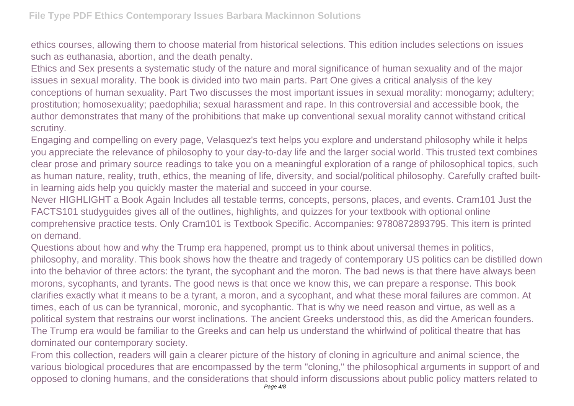ethics courses, allowing them to choose material from historical selections. This edition includes selections on issues such as euthanasia, abortion, and the death penalty.

Ethics and Sex presents a systematic study of the nature and moral significance of human sexuality and of the major issues in sexual morality. The book is divided into two main parts. Part One gives a critical analysis of the key conceptions of human sexuality. Part Two discusses the most important issues in sexual morality: monogamy; adultery; prostitution; homosexuality; paedophilia; sexual harassment and rape. In this controversial and accessible book, the author demonstrates that many of the prohibitions that make up conventional sexual morality cannot withstand critical scrutiny.

Engaging and compelling on every page, Velasquez's text helps you explore and understand philosophy while it helps you appreciate the relevance of philosophy to your day-to-day life and the larger social world. This trusted text combines clear prose and primary source readings to take you on a meaningful exploration of a range of philosophical topics, such as human nature, reality, truth, ethics, the meaning of life, diversity, and social/political philosophy. Carefully crafted builtin learning aids help you quickly master the material and succeed in your course.

Never HIGHLIGHT a Book Again Includes all testable terms, concepts, persons, places, and events. Cram101 Just the FACTS101 studyguides gives all of the outlines, highlights, and quizzes for your textbook with optional online comprehensive practice tests. Only Cram101 is Textbook Specific. Accompanies: 9780872893795. This item is printed on demand.

Questions about how and why the Trump era happened, prompt us to think about universal themes in politics, philosophy, and morality. This book shows how the theatre and tragedy of contemporary US politics can be distilled down into the behavior of three actors: the tyrant, the sycophant and the moron. The bad news is that there have always been morons, sycophants, and tyrants. The good news is that once we know this, we can prepare a response. This book clarifies exactly what it means to be a tyrant, a moron, and a sycophant, and what these moral failures are common. At times, each of us can be tyrannical, moronic, and sycophantic. That is why we need reason and virtue, as well as a political system that restrains our worst inclinations. The ancient Greeks understood this, as did the American founders. The Trump era would be familiar to the Greeks and can help us understand the whirlwind of political theatre that has dominated our contemporary society.

From this collection, readers will gain a clearer picture of the history of cloning in agriculture and animal science, the various biological procedures that are encompassed by the term "cloning," the philosophical arguments in support of and opposed to cloning humans, and the considerations that should inform discussions about public policy matters related to Page  $4/8$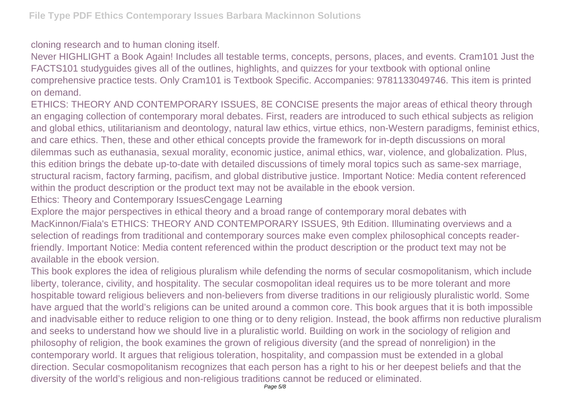cloning research and to human cloning itself.

Never HIGHLIGHT a Book Again! Includes all testable terms, concepts, persons, places, and events. Cram101 Just the FACTS101 studyguides gives all of the outlines, highlights, and quizzes for your textbook with optional online comprehensive practice tests. Only Cram101 is Textbook Specific. Accompanies: 9781133049746. This item is printed on demand.

ETHICS: THEORY AND CONTEMPORARY ISSUES, 8E CONCISE presents the major areas of ethical theory through an engaging collection of contemporary moral debates. First, readers are introduced to such ethical subjects as religion and global ethics, utilitarianism and deontology, natural law ethics, virtue ethics, non-Western paradigms, feminist ethics, and care ethics. Then, these and other ethical concepts provide the framework for in-depth discussions on moral dilemmas such as euthanasia, sexual morality, economic justice, animal ethics, war, violence, and globalization. Plus, this edition brings the debate up-to-date with detailed discussions of timely moral topics such as same-sex marriage, structural racism, factory farming, pacifism, and global distributive justice. Important Notice: Media content referenced within the product description or the product text may not be available in the ebook version.

Ethics: Theory and Contemporary IssuesCengage Learning

Explore the major perspectives in ethical theory and a broad range of contemporary moral debates with MacKinnon/Fiala's ETHICS: THEORY AND CONTEMPORARY ISSUES, 9th Edition. Illuminating overviews and a selection of readings from traditional and contemporary sources make even complex philosophical concepts readerfriendly. Important Notice: Media content referenced within the product description or the product text may not be available in the ebook version.

This book explores the idea of religious pluralism while defending the norms of secular cosmopolitanism, which include liberty, tolerance, civility, and hospitality. The secular cosmopolitan ideal requires us to be more tolerant and more hospitable toward religious believers and non-believers from diverse traditions in our religiously pluralistic world. Some have argued that the world's religions can be united around a common core. This book argues that it is both impossible and inadvisable either to reduce religion to one thing or to deny religion. Instead, the book affirms non reductive pluralism and seeks to understand how we should live in a pluralistic world. Building on work in the sociology of religion and philosophy of religion, the book examines the grown of religious diversity (and the spread of nonreligion) in the contemporary world. It argues that religious toleration, hospitality, and compassion must be extended in a global direction. Secular cosmopolitanism recognizes that each person has a right to his or her deepest beliefs and that the diversity of the world's religious and non-religious traditions cannot be reduced or eliminated.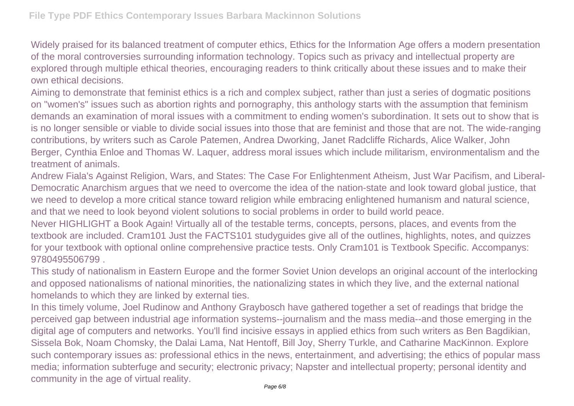Widely praised for its balanced treatment of computer ethics, Ethics for the Information Age offers a modern presentation of the moral controversies surrounding information technology. Topics such as privacy and intellectual property are explored through multiple ethical theories, encouraging readers to think critically about these issues and to make their own ethical decisions.

Aiming to demonstrate that feminist ethics is a rich and complex subject, rather than just a series of dogmatic positions on "women's" issues such as abortion rights and pornography, this anthology starts with the assumption that feminism demands an examination of moral issues with a commitment to ending women's subordination. It sets out to show that is is no longer sensible or viable to divide social issues into those that are feminist and those that are not. The wide-ranging contributions, by writers such as Carole Patemen, Andrea Dworking, Janet Radcliffe Richards, Alice Walker, John Berger, Cynthia Enloe and Thomas W. Laquer, address moral issues which include militarism, environmentalism and the treatment of animals.

Andrew Fiala's Against Religion, Wars, and States: The Case For Enlightenment Atheism, Just War Pacifism, and Liberal-Democratic Anarchism argues that we need to overcome the idea of the nation-state and look toward global justice, that we need to develop a more critical stance toward religion while embracing enlightened humanism and natural science, and that we need to look beyond violent solutions to social problems in order to build world peace.

Never HIGHLIGHT a Book Again! Virtually all of the testable terms, concepts, persons, places, and events from the textbook are included. Cram101 Just the FACTS101 studyguides give all of the outlines, highlights, notes, and quizzes for your textbook with optional online comprehensive practice tests. Only Cram101 is Textbook Specific. Accompanys: 9780495506799 .

This study of nationalism in Eastern Europe and the former Soviet Union develops an original account of the interlocking and opposed nationalisms of national minorities, the nationalizing states in which they live, and the external national homelands to which they are linked by external ties.

In this timely volume, Joel Rudinow and Anthony Graybosch have gathered together a set of readings that bridge the perceived gap between industrial age information systems--journalism and the mass media--and those emerging in the digital age of computers and networks. You'll find incisive essays in applied ethics from such writers as Ben Bagdikian, Sissela Bok, Noam Chomsky, the Dalai Lama, Nat Hentoff, Bill Joy, Sherry Turkle, and Catharine MacKinnon. Explore such contemporary issues as: professional ethics in the news, entertainment, and advertising; the ethics of popular mass media; information subterfuge and security; electronic privacy; Napster and intellectual property; personal identity and community in the age of virtual reality.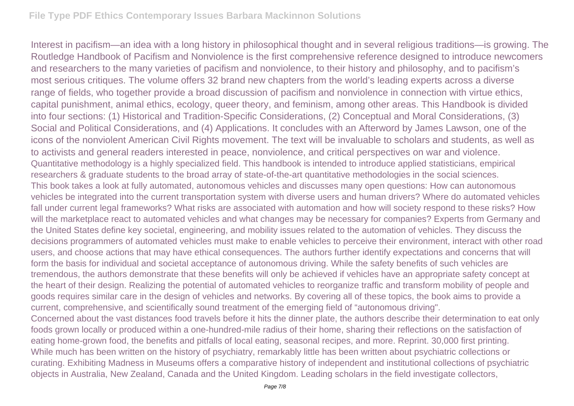Interest in pacifism—an idea with a long history in philosophical thought and in several religious traditions—is growing. The Routledge Handbook of Pacifism and Nonviolence is the first comprehensive reference designed to introduce newcomers and researchers to the many varieties of pacifism and nonviolence, to their history and philosophy, and to pacifism's most serious critiques. The volume offers 32 brand new chapters from the world's leading experts across a diverse range of fields, who together provide a broad discussion of pacifism and nonviolence in connection with virtue ethics, capital punishment, animal ethics, ecology, queer theory, and feminism, among other areas. This Handbook is divided into four sections: (1) Historical and Tradition-Specific Considerations, (2) Conceptual and Moral Considerations, (3) Social and Political Considerations, and (4) Applications. It concludes with an Afterword by James Lawson, one of the icons of the nonviolent American Civil Rights movement. The text will be invaluable to scholars and students, as well as to activists and general readers interested in peace, nonviolence, and critical perspectives on war and violence. Quantitative methodology is a highly specialized field. This handbook is intended to introduce applied statisticians, empirical researchers & graduate students to the broad array of state-of-the-art quantitative methodologies in the social sciences. This book takes a look at fully automated, autonomous vehicles and discusses many open questions: How can autonomous vehicles be integrated into the current transportation system with diverse users and human drivers? Where do automated vehicles fall under current legal frameworks? What risks are associated with automation and how will society respond to these risks? How will the marketplace react to automated vehicles and what changes may be necessary for companies? Experts from Germany and the United States define key societal, engineering, and mobility issues related to the automation of vehicles. They discuss the decisions programmers of automated vehicles must make to enable vehicles to perceive their environment, interact with other road users, and choose actions that may have ethical consequences. The authors further identify expectations and concerns that will form the basis for individual and societal acceptance of autonomous driving. While the safety benefits of such vehicles are tremendous, the authors demonstrate that these benefits will only be achieved if vehicles have an appropriate safety concept at the heart of their design. Realizing the potential of automated vehicles to reorganize traffic and transform mobility of people and goods requires similar care in the design of vehicles and networks. By covering all of these topics, the book aims to provide a current, comprehensive, and scientifically sound treatment of the emerging field of "autonomous driving". Concerned about the vast distances food travels before it hits the dinner plate, the authors describe their determination to eat only foods grown locally or produced within a one-hundred-mile radius of their home, sharing their reflections on the satisfaction of eating home-grown food, the benefits and pitfalls of local eating, seasonal recipes, and more. Reprint. 30,000 first printing. While much has been written on the history of psychiatry, remarkably little has been written about psychiatric collections or curating. Exhibiting Madness in Museums offers a comparative history of independent and institutional collections of psychiatric objects in Australia, New Zealand, Canada and the United Kingdom. Leading scholars in the field investigate collectors,